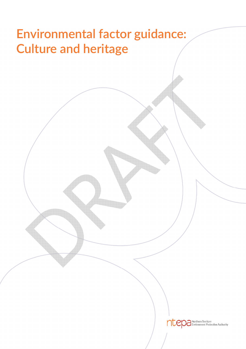# **Environmental factor guidance: Culture and heritage**

ntepa Northern Territory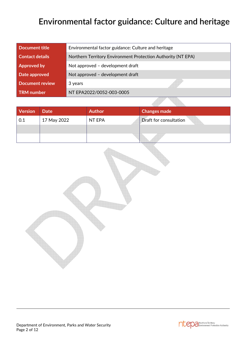# **Environmental factor guidance: Culture and heritage**

| <b>Document title</b>  | Environmental factor guidance: Culture and heritage          |  |  |
|------------------------|--------------------------------------------------------------|--|--|
| <b>Contact details</b> | Northern Territory Environment Protection Authority (NT EPA) |  |  |
| <b>Approved by</b>     | Not approved - development draft                             |  |  |
| Date approved          | Not approved - development draft                             |  |  |
| <b>Document review</b> | 3 years                                                      |  |  |
| <b>TRM</b> number      | NT EPA2022/0052-003-0005                                     |  |  |

| Version | <b>Date</b> | <b>Author</b> | Changes made           |  |  |  |
|---------|-------------|---------------|------------------------|--|--|--|
| 0.1     | 17 May 2022 | NT EPA        | Draft for consultation |  |  |  |
|         |             |               |                        |  |  |  |
|         |             |               |                        |  |  |  |



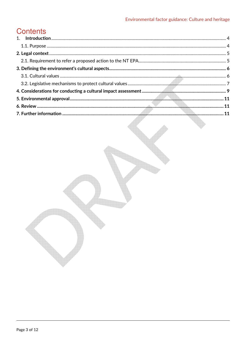# **Contents**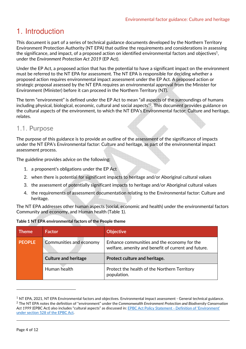# 1. Introduction

This document is part of a series of technical guidance documents developed by the Northern Territory Environment Protection Authority (NT EPA) that outline the requirements and considerations in assessing the significance, and impact, of a proposed action on identified environmental factors and objectives<sup>1</sup>, under the *Environment Protection Act 2019* (EP Act).

Under the EP Act, a proposed action that has the potential to have a significant impact on the environment must be referred to the NT EPA for assessment. The NT EPA is responsible for deciding whether a proposed action requires environmental impact assessment under the EP Act. A proposed action or strategic proposal assessed by the NT EPA requires an environmental approval from the Minister for Environment (Minister) before it can proceed in the Northern Territory (NT).

The term "environment" is defined under the EP Act to mean "all aspects of the surroundings of humans including physical, biological, economic, cultural and social aspects"<sup>2</sup> . This document provides guidance on the cultural aspects of the environment, to which the NT EPA's Environmental factor: Culture and heritage, relates.

### 1.1. **Purpose**

The purpose of this guidance is to provide an outline of the assessment of the significance of impacts under the NT EPA's Environmental factor: Culture and heritage, as part of the environmental impact assessment process.

The guideline provides advice on the following:

- 1. a proponent's obligations under the EP Act
- 2. when there is potential for significant impacts to heritage and/or Aboriginal cultural values
- 3. the assessment of potentially significant impacts to heritage and/or Aboriginal cultural values
- 4. the requirements of assessment documentation relating to the Environmental factor: Culture and heritage.

The NT EPA addresses other human aspects (social, economic and health) under the environmental factors Community and economy, and Human health (Table 1).

| <b>Theme</b>  | <b>Factor</b>               | <b>Objective</b>                                                                                   |  |
|---------------|-----------------------------|----------------------------------------------------------------------------------------------------|--|
| <b>PEOPLE</b> | Communities and economy     | Enhance communities and the economy for the<br>welfare, amenity and benefit of current and future. |  |
|               |                             | Protect culture and heritage.                                                                      |  |
|               | <b>Culture and heritage</b> |                                                                                                    |  |

|  | Table 1 NT EPA environmental factors of the People theme |
|--|----------------------------------------------------------|

 $1$  NT EPA, 2021, NT EPA Environmental factors and objectives. Environmental impact assessment - General technical guidance. <sup>2</sup> The NT EPA notes the definition of "environment" under the *Commonwealth Environment Protection and Biodiversity Conservation Act 1999* (EPBC Act) also includes "cultural aspects" as discussed in: EPBC Act Policy Statement - Definition of 'Environment' under section 528 of the EPBC Act.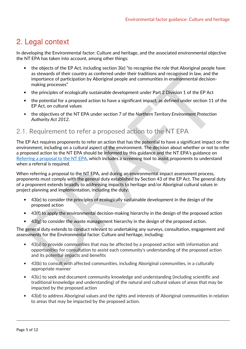### 2. Legal context

In developing the Environmental factor: Culture and heritage, and the associated environmental objective the NT EPA has taken into account, among other things:

- the objects of the EP Act, including section 3(e) "to recognise the role that Aboriginal people have as stewards of their country as conferred under their traditions and recognised in law, and the importance of participation by Aboriginal people and communities in environmental decisionmaking processes"
- the principles of ecologically sustainable development under Part 2 Division 1 of the EP Act
- the potential for a proposed action to have a significant impact, as defined under section 11 of the EP Act, on cultural values
- the objectives of the NT EPA under section 7 of the *Northern Territory Environment Protection Authority Act 2012*.

### 2.1. **Requirement to refer a proposed action to the NT EPA**

The EP Act requires proponents to refer an action that has the potential to have a significant impact on the environment, including on a cultural aspect of the environment. The decision about whether or not to refer a proposed action to the NT EPA should be informed by this guidance and the NT EPA's guidance on Referring a proposal to the NT EPA, which includes a screening tool to assist proponents to understand when a referral is required.

When referring a proposal to the NT EPA, and during an environmental impact assessment process, proponents must comply with the general duty established by Section 43 of the EP Act. The general duty of a proponent extends broadly to addressing impacts to heritage and/or Aboriginal cultural values in project planning and implementation, including the duty:

- 43(e) to consider the principles of ecologically sustainable development in the design of the proposed action
- 43(f) to apply the environmental decision-making hierarchy in the design of the proposed action
- 43(g) to consider the waste management hierarchy in the design of the proposed action.

The general duty extends to conduct relevant to undertaking any surveys, consultation, engagement and assessments for the Environmental factor: Culture and heritage, including:

- 43(a) to provide communities that may be affected by a proposed action with information and opportunities for consultation to assist each community's understanding of the proposed action and its potential impacts and benefits
- 43(b) to consult with affected communities, including Aboriginal communities, in a culturally appropriate manner
- 43(c) to seek and document community knowledge and understanding (including scientific and traditional knowledge and understanding) of the natural and cultural values of areas that may be impacted by the proposed action
- 43(d) to address Aboriginal values and the rights and interests of Aboriginal communities in relation to areas that may be impacted by the proposed action.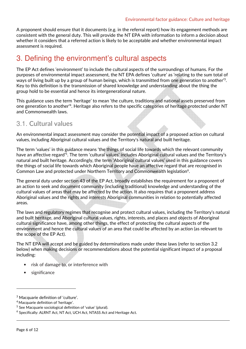A proponent should ensure that it documents (e.g. in the referral report) how its engagement methods are consistent with the general duty. This will provide the NT EPA with information to inform a decision about whether it considers that a referred action is likely to be acceptable and whether environmental impact assessment is required.

### 3. Defining the environment's cultural aspects

The EP Act defines 'environment' to include the cultural aspects of the surroundings of humans. For the purposes of environmental impact assessment, the NT EPA defines 'culture' as 'relating to the sum total of ways of living built up by a group of human beings, which is transmitted from one generation to another<sup>'3</sup>. Key to this definition is the transmission of shared knowledge and understanding about the thing the group hold to be essential and hence its intergenerational nature.

This guidance uses the term 'heritage' to mean 'the culture, traditions and national assets preserved from one generation to another<sup>14</sup>. Heritage also refers to the specific categories of heritage protected under NT and Commonwealth laws.

### 3.1. **Cultural values**

An environmental impact assessment may consider the potential impact of a proposed action on cultural values, including Aboriginal cultural values and the Territory's natural and built heritage.

The term 'values' in this guidance means 'the things of social life towards which the relevant community have an affective regard'<sup>5</sup>. The term 'cultural values' includes Aboriginal cultural values and the Territory's natural and built heritage. Accordingly, the term 'Aboriginal cultural values' used in this guidance covers the things of social life towards which Aboriginal people have an affective regard that are recognised in Common Law and protected under Northern Territory and Commonwealth legislation<sup>6</sup>.

The general duty under section 43 of the EP Act, broadly establishes the requirement for a proponent of an action to seek and document community (including traditional) knowledge and understanding of the cultural values of areas that may be affected by the action. It also requires that a proponent address Aboriginal values and the rights and interests Aboriginal communities in relation to potentially affected areas.

The laws and regulatory regimes that recognise and protect cultural values, including the Territory's natural and built heritage, and Aboriginal cultural values, rights, interests, and places and objects of Aboriginal cultural significance have, among other things, the effect of protecting the cultural aspects of the environment and hence the cultural values of an area that could be affected by an action (as relevant to the scope of the EP Act).

The NT EPA will accept and be guided by determinations made under these laws (refer to section 3.2 below) when making decisions or recommendations about the potential significant impact of a proposal including:

- risk of damage to, or interference with
- significance

 $\overline{a}$ 

<sup>3</sup> Macquarie definition of 'culture'.

<sup>&</sup>lt;sup>4</sup> Macquarie definition of 'heritage'.

<sup>5</sup> See Macquarie sociological definition of 'value' (plural).

<sup>6</sup> Specifically: ALRNT Act, NT Act, UCH Act, NTASS Act and Heritage Act.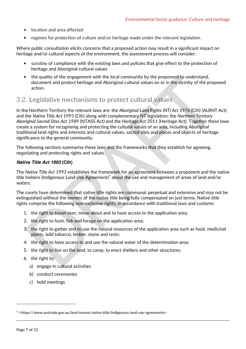- location and area affected
- regimes for protection of culture and/or heritage made under the relevant legislation.

Where public consultation elicits concerns that a proposed action may result in a significant impact on heritage and/or cultural aspects of the environment, the assessment process will consider:

- scrutiny of compliance with the existing laws and policies that give effect to the protection of heritage and Aboriginal cultural values
- the quality of the engagement with the local community by the proponent to understand, document and protect heritage and Aboriginal cultural values on or in the vicinity of the proposed action.

### 3.2. **Legislative mechanisms to protect cultural values**

In the Northern Territory the relevant laws are: the *Aboriginal Land Rights (NT) Act 1976* (Cth) (ALRNT Act) and the *Native Title Act 1993* (Cth) along with complementary NT legislation; the *Northern Territory Aboriginal Sacred Sites Act 1989* (NTASS Act) and the *Heritage Act 2011* (Heritage Act). Together these laws create a system for recognising and protecting the cultural values of an area, including Aboriginal traditional land rights and interests and cultural values, sacred sites and places and objects of heritage significance to the general community.

The following sections summarise these laws and the frameworks that they establish for agreeing, negotiating and protecting rights and values.

#### **Native Title Act 1993 (Cth)**

The *Native Title Act 1993* establishes the framework for an agreement between a proponent and the native title holders (Indigenous Land Use Agreement)<sup>7</sup> about the use and management of areas of land and/or waters.

The courts have determined that native title rights are communal, perpetual and extensive and may not be extinguished without the owners of the native title being fully compensated on just terms. Native title rights comprise the following non-exclusive rights, in accordance with traditional laws and customs:

- 1. the right to travel over, move about and to have access to the application area;
- 2. the right to hunt, fish and forage on the application area;
- 3. the right to gather and to use the natural resources of the application area such as food, medicinal plants, wild tobacco, timber, stone and resin;
- 4. the right to have access to and use the natural water of the determination area;
- 5. the right to live on the land, to camp, to erect shelters and other structures;
- 6. the right to:
	- a) engage in cultural activities
	- b) conduct ceremonies
	- c) hold meetings

 $\overline{a}$ 

<sup>7</sup> <https://www.austrade.gov.au/land-tenure/native-title/indigenous-land-use-agreements>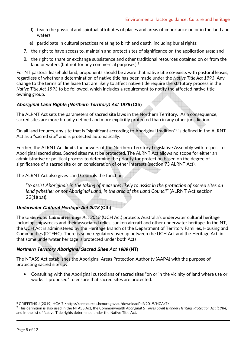- d) teach the physical and spiritual attributes of places and areas of importance on or in the land and waters
- e) participate in cultural practices relating to birth and death, including burial rights;
- 7. the right to have access to, maintain and protect sites of significance on the application area; and
- 8. the right to share or exchange subsistence and other traditional resources obtained on or from the land or waters (but not for any commercial purposes).<sup>8</sup>

For NT pastoral leasehold land, proponents should be aware that native title co-exists with pastoral leases, regardless of whether a determination of native title has been made under the *Native Title Act 1993*. Any change to the terms of the lease that are likely to affect native title require the statutory process in the *Native Title Act 1993* to be followed, which includes a requirement to notify the affected native title owning group.

#### **Aboriginal Land Rights (Northern Territory) Act 1976 (Cth)**

The ALRNT Act sets the parameters of sacred site laws in the Northern Territory. As a consequence, sacred sites are more broadly defined and more explicitly protected than in any other jurisdiction.

On all land tenures, any site that is "significant according to Aboriginal tradition"<sup>9</sup> is defined in the ALRNT Act as a "sacred site" and is protected automatically.

Further, the ALRNT Act limits the powers of the Northern Territory Legislative Assembly with respect to Aboriginal sacred sites. Sacred sites must be protected. The ALRNT Act allows no scope for either an administrative or political process to determine the priority for protection based on the degree of significance of a sacred site or on consideration of other interests (section 73 ALRNT Act).

The ALRNT Act also gives Land Councils the function:

*"to assist Aboriginals in the taking of measures likely to assist in the protection of sacred sites on* land (whether or not Aboriginal Land) in the area of the Land Council" (ALRNT Act section 23(1)(ba)).

#### **Underwater Cultural Heritage Act 2018 (Cth)**

The *Underwater Cultural Heritage Act 2018* (UCH Act) protects Australia's underwater cultural heritage including shipwrecks and their associated relics, sunken aircraft and other underwater heritage. In the NT, the UCH Act is administered by the Heritage Branch of the Department of Territory Families, Housing and Communities (DTFHC). There is some regulatory overlap between the UCH Act and the Heritage Act, in that some underwater heritage is protected under both Acts.

#### **Northern Territory Aboriginal Sacred Sites Act 1989 (NT)**

The NTASS Act establishes the Aboriginal Areas Protection Authority (AAPA) with the purpose of protecting sacred sites by:

• Consulting with the Aboriginal custodians of sacred sites "on or in the vicinity of land where use or works is proposed" to ensure that sacred sites are protected.

<sup>&</sup>lt;sup>8</sup> GRIFFITHS J [2019] HCA 7 <https://eresources.hcourt.gov.au/downloadPdf/2019/HCA/7>

<sup>9</sup> This definition is also used in the NTASS Act, the Commonwealth *Aboriginal & Torres Strait Islander Heritage Protection Act (1984)*  and in the list of Native Title rights determined under the Native Title Act.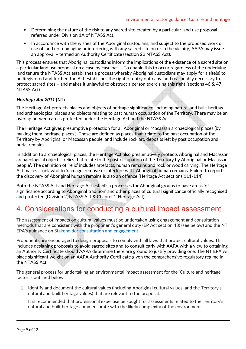- Determining the nature of the risk to any sacred site created by a particular land use proposal referred under Division 1A of NTASS Act.
- In accordance with the wishes of the Aboriginal custodians, and subject to the proposed work or use of land not damaging or interfering with any sacred site on or in the vicinity, AAPA may issue an approval – termed an Authority Certificate (section 22 NTASS Act).

This process ensures that Aboriginal custodians inform the implications of the existence of a sacred site on a particular land use proposal on a case by case basis. To enable this to occur regardless of the underlying land tenure the NTASS Act establishes a process whereby Aboriginal custodians may apply for a site(s) to be Registered and further, the Act establishes the right of entry onto any land reasonably necessary to protect sacred sites – and makes it unlawful to obstruct a person exercising this right (sections 46 & 47 NTASS Act).

#### **Heritage Act 2011 (NT)**

The Heritage Act protects places and objects of heritage significance, including natural and built heritage, and archaeological places and objects relating to past human occupation of the Territory. There may be an overlap between areas protected under the Heritage Act and the NTASS Act.

The Heritage Act gives presumptive protection for all Aboriginal or Macassan archaeological places (by making them 'heritage places'). These are defined as places that 'relate to the past occupation of the Territory by Aboriginal or Macassan people' and include rock art, deposits left by past occupation and burial remains.

In addition to archaeological places, the Heritage Act also presumptively protects Aboriginal and Macassan archaeological objects: 'relics that relate to the past occupation of the Territory by Aboriginal or Macassan people'. The definition of 'relic' includes artefacts, human remains and rock or wood carving. The Heritage Act makes it unlawful to 'damage, remove or interfere with' Aboriginal human remains. Failure to report the discovery of Aboriginal human remains is also an offence (Heritage Act sections 111-114).

Both the NTASS Act and Heritage Act establish processes for Aboriginal groups to have areas 'of significance according to Aboriginal tradition' and other places of cultural significance officially recognised and protected (Division 2, NTASS Act & Chapter 2 Heritage Act).

### 4. Considerations for conducting a cultural impact assessment

The assessment of impacts on cultural values must be undertaken using engagement and consultation methods that are consistent with the proponent's general duty (EP Act section 43) (see below) and the NT EPA's guidance on Stakeholder consultation and engagement.

Proponents are encouraged to design proposals to comply with all laws that protect cultural values. This includes designing proposals to avoid sacred sites and to consult early with AAPA with a view to obtaining an Authority Certificate should AAPA determine there are ground to justify providing one. The NT EPA will place significant weight on an AAPA Authority Certificate given the comprehensive regulatory regime in the NTASS Act.

The general process for undertaking an environmental impact assessment for the 'Culture and heritage' factor is outlined below.

1. Identify and document the cultural values (including Aboriginal cultural values, and the Territory's natural and built heritage values) that are relevant to the proposal.

It is recommended that professional expertise be sought for assessments related to the Territory's natural and built heritage commensurate with the likely complexity of the environment.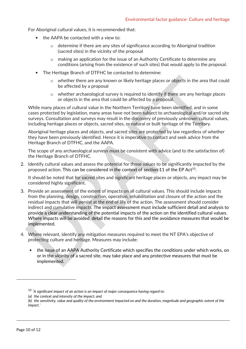For Aboriginal cultural values, it is recommended that:

- the AAPA be contacted with a view to:
	- o determine if there are any sites of significance according to Aboriginal tradition (sacred sites) in the vicinity of the proposal
	- o making an application for the issue of an Authority Certificate to determine any conditions (arising from the existence of such sites) that would apply to the proposal.
- The Heritage Branch of DTFHC be contacted to determine:
	- o whether there are any known or likely heritage places or objects in the area that could be affected by a proposal
	- o whether archaeological survey is required to identify if there are any heritage places or objects in the area that could be affected by a proposal.

While many places of cultural value in the Northern Territory have been identified, and in some cases protected by legislation, many areas have not been subject to archaeological and/or sacred site surveys. Consultation and surveys may result in the discovery of previously unknown cultural values, including heritage places or objects, sacred sites, or natural or built heritage of the Territory.

Aboriginal heritage places and objects, and sacred sites are protected by law regardless of whether they have been previously identified. Hence it is imperative to contact and seek advice from the Heritage Branch of DTFHC, and the AAPA.

The scope of any archaeological surveys must be consistent with advice (and to the satisfaction of) the Heritage Branch of DTFHC.

2. Identify cultural values and assess the potential for those values to be significantly impacted by the proposed action. This can be considered in the context of section 11 of the EP Act $^{10}$ .

It should be noted that for sacred sites and significant heritage places or objects, any impact may be considered highly significant.

- 3. Provide an assessment of the extent of impacts on all cultural values. This should include impacts from the planning, design, construction, operation, rehabilitation and closure of the action and the residual impacts that will persist at the end of life of the action. The assessment should consider indirect and cumulative impacts. The impact assessment must include sufficient detail and analysis to provide a clear understanding of the potential impacts of the action on the identified cultural values. Where impacts will be avoided, detail the reasons for this and the avoidance measures that would be implemented.
- 4. Where relevant, identify any mitigation measures required to meet the NT EPA's objective of protecting culture and heritage. Measures may include:
	- the issue of an AAPA Authority Certificate which specifies the conditions under which works, on or in the vicinity of a sacred site, may take place and any protective measures that must be implemented.

<sup>10</sup> *'A significant impact of an action is an impact of major consequence having regard to:* 

*<sup>(</sup>a) the context and intensity of the impact; and* 

*<sup>(</sup>b) the sensitivity, value and quality of the environment impacted on and the duration, magnitude and geographic extent of the impact.'*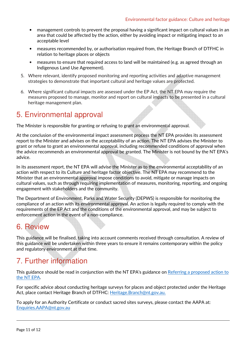- management controls to prevent the proposal having a significant impact on cultural values in an area that could be affected by the action, either by avoiding impact or mitigating impact to an acceptable level
- measures recommended by, or authorisation required from, the Heritage Branch of DTFHC in relation to heritage places or objects
- measures to ensure that required access to land will be maintained (e.g. as agreed through an Indigenous Land Use Agreement).
- 5. Where relevant, identify proposed monitoring and reporting activities and adaptive management strategies to demonstrate that important cultural and heritage values are protected.
- 6. Where significant cultural impacts are assessed under the EP Act, the NT EPA may require the measures proposed to manage, monitor and report on cultural impacts to be presented in a cultural heritage management plan.

### 5. Environmental approval

The Minister is responsible for granting or refusing to grant an environmental approval.

At the conclusion of the environmental impact assessment process the NT EPA provides its assessment report to the Minister and advises on the acceptability of an action. The NT EPA advises the Minister to grant or refuse to grant an environmental approval, including recommended conditions of approval when the advice recommends an environmental approval be granted. The Minister is not bound by the NT EPA's advice.

In its assessment report, the NT EPA will advise the Minister as to the environmental acceptability of an action with respect to its Culture and heritage factor objective. The NT EPA may recommend to the Minister that an environmental approval impose conditions to avoid, mitigate or manage impacts on cultural values, such as through requiring implementation of measures, monitoring, reporting, and ongoing engagement with stakeholders and the community.

The Department of Environment, Parks and Water Security (DEPWS) is responsible for monitoring the compliance of an action with its environmental approval. An action is legally required to comply with the requirements of the EP Act and the conditions of the environmental approval, and may be subject to enforcement action in the event of a non-compliance.

### 6. Review

This guidance will be finalised, taking into account comments received through consultation. A review of this guidance will be undertaken within three years to ensure it remains contemporary within the policy and regulatory environment at that time.

# 7. Further information

This guidance should be read in conjunction with the NT EPA's guidance on Referring a proposed action to the NT EPA.

For specific advice about conducting heritage surveys for places and object protected under the Heritage Act, place contact Heritage Branch of DTFHC: Heritage.Branch@nt.gov.au.

To apply for an Authority Certificate or conduct sacred sites surveys, please contact the AAPA at: Enquiries.AAPA@nt.gov.au